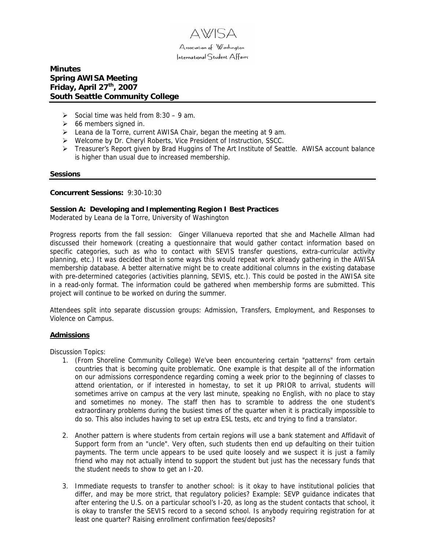

# **Minutes Spring AWISA Meeting Friday, April 27th, 2007 South Seattle Community College**

- $\geq$  Social time was held from 8:30 9 am.
- $\geq$  66 members signed in.
- ¾ Leana de la Torre, current AWISA Chair, began the meeting at 9 am.
- ¾ Welcome by Dr. Cheryl Roberts, Vice President of Instruction, SSCC.
- ¾ Treasurer's Report given by Brad Huggins of The Art Institute of Seattle. AWISA account balance is higher than usual due to increased membership.

#### **Sessions**

#### **Concurrent Sessions:** 9:30-10:30

#### **Session A: Developing and Implementing Region I Best Practices**

Moderated by Leana de la Torre, University of Washington

Progress reports from the fall session: Ginger Villanueva reported that she and Machelle Allman had discussed their homework (creating a questionnaire that would gather contact information based on specific categories, such as who to contact with SEVIS transfer questions, extra-curricular activity planning, etc.) It was decided that in some ways this would repeat work already gathering in the AWISA membership database. A better alternative might be to create additional columns in the existing database with pre-determined categories (activities planning, SEVIS, etc.). This could be posted in the AWISA site in a read-only format. The information could be gathered when membership forms are submitted. This project will continue to be worked on during the summer.

Attendees split into separate discussion groups: Admission, Transfers, Employment, and Responses to Violence on Campus.

#### **Admissions**

Discussion Topics:

- 1. (From Shoreline Community College) We've been encountering certain "patterns" from certain countries that is becoming quite problematic. One example is that despite all of the information on our admissions correspondence regarding coming a week prior to the beginning of classes to attend orientation, or if interested in homestay, to set it up PRIOR to arrival, students will sometimes arrive on campus at the very last minute, speaking no English, with no place to stay and sometimes no money. The staff then has to scramble to address the one student's extraordinary problems during the busiest times of the quarter when it is practically impossible to do so. This also includes having to set up extra ESL tests, etc and trying to find a translator.
- 2. Another pattern is where students from certain regions will use a bank statement and Affidavit of Support form from an "uncle". Very often, such students then end up defaulting on their tuition payments. The term uncle appears to be used quite loosely and we suspect it is just a family friend who may not actually intend to support the student but just has the necessary funds that the student needs to show to get an I-20.
- 3. Immediate requests to transfer to another school: is it okay to have institutional policies that differ, and may be more strict, that regulatory policies? Example: SEVP guidance indicates that after entering the U.S. on a particular school's I-20, as long as the student contacts that school, it is okay to transfer the SEVIS record to a second school. Is anybody requiring registration for at least one quarter? Raising enrollment confirmation fees/deposits?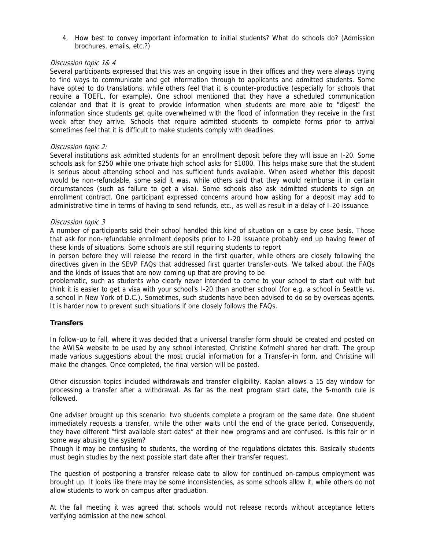4. How best to convey important information to initial students? What do schools do? (Admission brochures, emails, etc.?)

#### Discussion topic 1& 4

Several participants expressed that this was an ongoing issue in their offices and they were always trying to find ways to communicate and get information through to applicants and admitted students. Some have opted to do translations, while others feel that it is counter-productive (especially for schools that require a TOEFL, for example). One school mentioned that they have a scheduled communication calendar and that it is great to provide information when students are more able to "digest" the information since students get quite overwhelmed with the flood of information they receive in the first week after they arrive. Schools that require admitted students to complete forms prior to arrival sometimes feel that it is difficult to make students comply with deadlines.

### Discussion topic 2:

Several institutions ask admitted students for an enrollment deposit before they will issue an I-20. Some schools ask for \$250 while one private high school asks for \$1000. This helps make sure that the student is serious about attending school and has sufficient funds available. When asked whether this deposit would be non-refundable, some said it was, while others said that they would reimburse it in certain circumstances (such as failure to get a visa). Some schools also ask admitted students to sign an enrollment contract. One participant expressed concerns around how asking for a deposit may add to administrative time in terms of having to send refunds, etc., as well as result in a delay of I-20 issuance.

#### Discussion topic 3

A number of participants said their school handled this kind of situation on a case by case basis. Those that ask for non-refundable enrollment deposits prior to I-20 issuance probably end up having fewer of these kinds of situations. Some schools are still requiring students to report

in person before they will release the record in the first quarter, while others are closely following the directives given in the SEVP FAQs that addressed first quarter transfer-outs. We talked about the FAQs and the kinds of issues that are now coming up that are proving to be

problematic, such as students who clearly never intended to come to your school to start out with but think it is easier to get a visa with your school's I-20 than another school (for e.g. a school in Seattle vs. a school in New York of D.C.). Sometimes, such students have been advised to do so by overseas agents. It is harder now to prevent such situations if one closely follows the FAQs.

## **Transfers**

In follow-up to fall, where it was decided that a universal transfer form should be created and posted on the AWISA website to be used by any school interested, Christine Kofmehl shared her draft. The group made various suggestions about the most crucial information for a Transfer-in form, and Christine will make the changes. Once completed, the final version will be posted.

Other discussion topics included withdrawals and transfer eligibility. Kaplan allows a 15 day window for processing a transfer after a withdrawal. As far as the next program start date, the 5-month rule is followed.

One adviser brought up this scenario: two students complete a program on the same date. One student immediately requests a transfer, while the other waits until the end of the grace period. Consequently, they have different "first available start dates" at their new programs and are confused. Is this fair or in some way abusing the system?

Though it may be confusing to students, the wording of the regulations dictates this. Basically students must begin studies by the next possible start date after their transfer request.

The question of postponing a transfer release date to allow for continued on-campus employment was brought up. It looks like there may be some inconsistencies, as some schools allow it, while others do not allow students to work on campus after graduation.

At the fall meeting it was agreed that schools would not release records without acceptance letters verifying admission at the new school.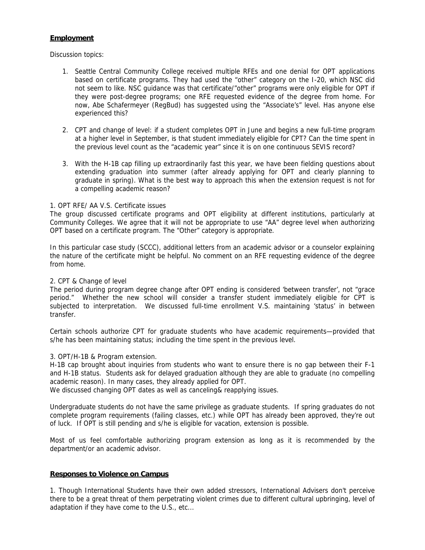## **Employment**

Discussion topics:

- 1. Seattle Central Community College received multiple RFEs and one denial for OPT applications based on certificate programs. They had used the "other" category on the I-20, which NSC did not seem to like. NSC guidance was that certificate/"other" programs were only eligible for OPT if they were post-degree programs; one RFE requested evidence of the degree from home. For now, Abe Schafermeyer (RegBud) has suggested using the "Associate's" level. Has anyone else experienced this?
- 2. CPT and change of level: if a student completes OPT in June and begins a new full-time program at a higher level in September, is that student immediately eligible for CPT? Can the time spent in the previous level count as the "academic year" since it is on one continuous SEVIS record?
- 3. With the H-1B cap filling up extraordinarily fast this year, we have been fielding questions about extending graduation into summer (after already applying for OPT and clearly planning to graduate in spring). What is the best way to approach this when the extension request is not for a compelling academic reason?

### 1. OPT RFE/ AA V.S. Certificate issues

The group discussed certificate programs and OPT eligibility at different institutions, particularly at Community Colleges. We agree that it will not be appropriate to use "AA" degree level when authorizing OPT based on a certificate program. The "Other" category is appropriate.

In this particular case study (SCCC), additional letters from an academic advisor or a counselor explaining the nature of the certificate might be helpful. No comment on an RFE requesting evidence of the degree from home.

#### 2. CPT & Change of level

The period during program degree change after OPT ending is considered 'between transfer', not "grace period." Whether the new school will consider a transfer student immediately eligible for CPT is subjected to interpretation. We discussed full-time enrollment V.S. maintaining 'status' in between transfer.

Certain schools authorize CPT for graduate students who have academic requirements—provided that s/he has been maintaining status; including the time spent in the previous level.

#### 3. OPT/H-1B & Program extension.

H-1B cap brought about inquiries from students who want to ensure there is no gap between their F-1 and H-1B status. Students ask for delayed graduation although they are able to graduate (no compelling academic reason). In many cases, they already applied for OPT.

We discussed changing OPT dates as well as canceling& reapplying issues.

Undergraduate students do not have the same privilege as graduate students. If spring graduates do not complete program requirements (failing classes, etc.) while OPT has already been approved, they're out of luck. If OPT is still pending and s/he is eligible for vacation, extension is possible.

Most of us feel comfortable authorizing program extension as long as it is recommended by the department/or an academic advisor.

### **Responses to Violence on Campus**

1. Though International Students have their own added stressors, International Advisers don't perceive there to be a great threat of them perpetrating violent crimes due to different cultural upbringing, level of adaptation if they have come to the U.S., etc...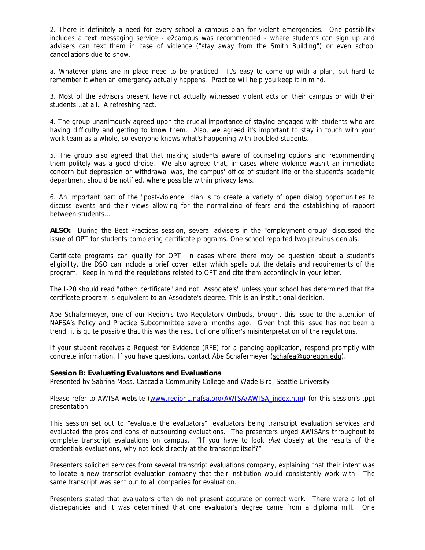2. There is definitely a need for every school a campus plan for violent emergencies. One possibility includes a text messaging service - e2campus was recommended - where students can sign up and advisers can text them in case of violence ("stay away from the Smith Building") or even school cancellations due to snow.

a. Whatever plans are in place need to be practiced. It's easy to come up with a plan, but hard to remember it when an emergency actually happens. Practice will help you keep it in mind.

3. Most of the advisors present have not actually witnessed violent acts on their campus or with their students...at all. A refreshing fact.

4. The group unanimously agreed upon the crucial importance of staying engaged with students who are having difficulty and getting to know them. Also, we agreed it's important to stay in touch with your work team as a whole, so everyone knows what's happening with troubled students.

5. The group also agreed that that making students aware of counseling options and recommending them politely was a good choice. We also agreed that, in cases where violence wasn't an immediate concern but depression or withdrawal was, the campus' office of student life or the student's academic department should be notified, where possible within privacy laws.

6. An important part of the "post-violence" plan is to create a variety of open dialog opportunities to discuss events and their views allowing for the normalizing of fears and the establishing of rapport between students...

**ALSO:** During the Best Practices session, several advisers in the "employment group" discussed the issue of OPT for students completing certificate programs. One school reported two previous denials.

Certificate programs can qualify for OPT. In cases where there may be question about a student's eligibility, the DSO can include a brief cover letter which spells out the details and requirements of the program. Keep in mind the regulations related to OPT and cite them accordingly in your letter.

The I-20 should read "other: certificate" and not "Associate's" unless your school has determined that the certificate program is equivalent to an Associate's degree. This is an institutional decision.

Abe Schafermeyer, one of our Region's two Regulatory Ombuds, brought this issue to the attention of NAFSA's Policy and Practice Subcommittee several months ago. Given that this issue has not been a trend, it is quite possible that this was the result of one officer's misinterpretation of the regulations.

If your student receives a Request for Evidence (RFE) for a pending application, respond promptly with concrete information. If you have questions, contact Abe Schafermeyer [\(schafea@uoregon.edu\)](mailto:schafea@uoregon.edu).

#### **Session B: Evaluating Evaluators and Evaluations**

Presented by Sabrina Moss, Cascadia Community College and Wade Bird, Seattle University

Please refer to AWISA website ([www.region1.nafsa.org/AWISA/AWISA\\_index.htm](http://www.region1.nafsa.org/AWISA/AWISA_index.htm)) for this session's .ppt presentation.

This session set out to "evaluate the evaluators", evaluators being transcript evaluation services and evaluated the pros and cons of outsourcing evaluations. The presenters urged AWISAns throughout to complete transcript evaluations on campus. "If you have to look *that* closely at the results of the credentials evaluations, why not look directly at the transcript itself?"

Presenters solicited services from several transcript evaluations company, explaining that their intent was to locate a new transcript evaluation company that their institution would consistently work with. The same transcript was sent out to all companies for evaluation.

Presenters stated that evaluators often do not present accurate or correct work. There were a lot of discrepancies and it was determined that one evaluator's degree came from a diploma mill. One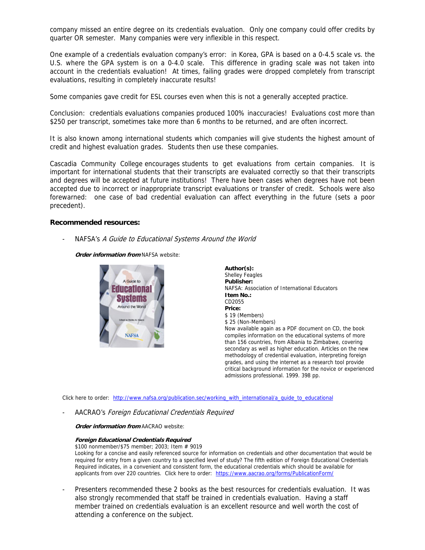company missed an entire degree on its credentials evaluation. Only one company could offer credits by quarter OR semester. Many companies were very inflexible in this respect.

One example of a credentials evaluation company's error: in Korea, GPA is based on a 0-4.5 scale vs. the U.S. where the GPA system is on a 0-4.0 scale. This difference in grading scale was not taken into account in the credentials evaluation! At times, failing grades were dropped completely from transcript evaluations, resulting in completely inaccurate results!

Some companies gave credit for ESL courses even when this is not a generally accepted practice.

Conclusion: credentials evaluations companies produced 100% inaccuracies! Evaluations cost more than \$250 per transcript, sometimes take more than 6 months to be returned, and are often incorrect.

It is also known among international students which companies will give students the highest amount of credit and highest evaluation grades. Students then use these companies.

Cascadia Community College encourages students to get evaluations from certain companies. It is important for international students that their transcripts are evaluated correctly so that their transcripts and degrees will be accepted at future institutions! There have been cases when degrees have not been accepted due to incorrect or inappropriate transcript evaluations or transfer of credit. Schools were also forewarned: one case of bad credential evaluation can affect everything in the future (sets a poor precedent).

#### **Recommended resources:**

NAFSA's A Guide to Educational Systems Around the World

**Order information from** NAFSA website:



| Author(s):                                                    |
|---------------------------------------------------------------|
| <b>Shelley Feagles</b>                                        |
| Publisher:                                                    |
| NAFSA: Association of International Educators                 |
| Item No∴                                                      |
| CD2055                                                        |
| Price:                                                        |
| \$19 (Members)                                                |
| \$25 (Non-Members)                                            |
| Now available again as a PDF document on CD, the book         |
| compiles information on the educational systems of more       |
| than 156 countries, from Albania to Zimbabwe, covering        |
| secondary as well as higher education. Articles on the new    |
| methodology of credential evaluation, interpreting foreign    |
| grades, and using the internet as a research tool provide     |
| critical background information for the novice or experienced |
| admissions professional. 1999. 398 pp.                        |
|                                                               |

Click here to order: [http://www.nafsa.org/publication.sec/working\\_with\\_international/a\\_guide\\_to\\_educational](http://www.nafsa.org/publication.sec/working_with_international/a_guide_to_educational)

AACRAO's Foreign Educational Credentials Required

**Order information from** AACRAO website:

#### **Foreign Educational Credentials Required**

\$100 nonmember/\$75 member; 2003; Item # 9019 Looking for a concise and easily referenced source for information on credentials and other documentation that would be required for entry from a given country to a specified level of study? The fifth edition of Foreign Educational Credentials Required indicates, in a convenient and consistent form, the educational credentials which should be available for applicants from over 220 countries. Click here to order: <https://www.aacrao.org/forms/PublicationForm/>

Presenters recommended these 2 books as the best resources for credentials evaluation. It was also strongly recommended that staff be trained in credentials evaluation. Having a staff member trained on credentials evaluation is an excellent resource and well worth the cost of attending a conference on the subject.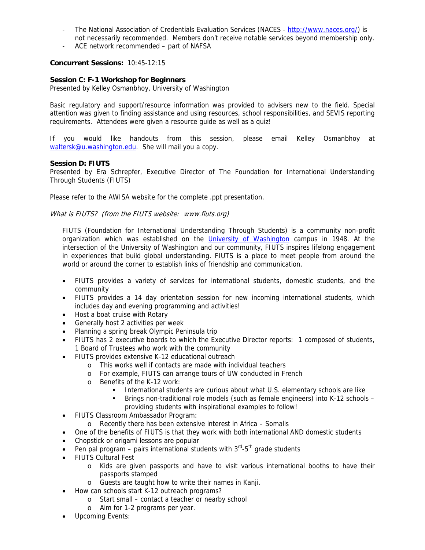- The National Association of Credentials Evaluation Services (NACES <http://www.naces.org/>) is not necessarily recommended. Members don't receive notable services beyond membership only.
- ACE network recommended part of NAFSA

# **Concurrent Sessions:** 10:45-12:15

# **Session C: F-1 Workshop for Beginners**

Presented by Kelley Osmanbhoy, University of Washington

Basic regulatory and support/resource information was provided to advisers new to the field. Special attention was given to finding assistance and using resources, school responsibilities, and SEVIS reporting requirements. Attendees were given a resource guide as well as a quiz!

If you would like handouts from this session, please email Kelley Osmanbhoy at [waltersk@u.washington.edu](mailto:waltersk@u.washington.edu). She will mail you a copy.

## **Session D: FIUTS**

Presented by Era Schrepfer, Executive Director of The Foundation for International Understanding Through Students (FIUTS)

Please refer to the AWISA website for the complete .ppt presentation.

What is FIUTS? (from the FIUTS website: www.fiuts.org)

FIUTS (Foundation for International Understanding Through Students) is a community non-profit organization which was established on the *[University of Washington](http://www.washington.edu/)* campus in 1948. At the intersection of the University of Washington and our community, FIUTS inspires lifelong engagement in experiences that build global understanding. FIUTS is a place to meet people from around the world or around the corner to establish links of friendship and communication.

- FIUTS provides a variety of services for international students, domestic students, and the community
- FIUTS provides a 14 day orientation session for new incoming international students, which includes day and evening programming and activities!
- Host a boat cruise with Rotary
- Generally host 2 activities per week
- Planning a spring break Olympic Peninsula trip
- FIUTS has 2 executive boards to which the Executive Director reports: 1 composed of students, 1 Board of Trustees who work with the community
- FIUTS provides extensive K-12 educational outreach
	- o This works well if contacts are made with individual teachers
	- o For example, FIUTS can arrange tours of UW conducted in French
	- o Benefits of the K-12 work:
		- International students are curious about what U.S. elementary schools are like
		- Brings non-traditional role models (such as female engineers) into K-12 schools providing students with inspirational examples to follow!
- FIUTS Classroom Ambassador Program:
	- o Recently there has been extensive interest in Africa Somalis
- One of the benefits of FIUTS is that they work with both international AND domestic students
- Chopstick or origami lessons are popular
- Pen pal program pairs international students with  $3<sup>rd</sup> 5<sup>th</sup>$  grade students
- FIUTS Cultural Fest
	- o Kids are given passports and have to visit various international booths to have their passports stamped
	- o Guests are taught how to write their names in Kanji.
- How can schools start K-12 outreach programs?
	- o Start small contact a teacher or nearby school
	- o Aim for 1-2 programs per year.
- Upcoming Events: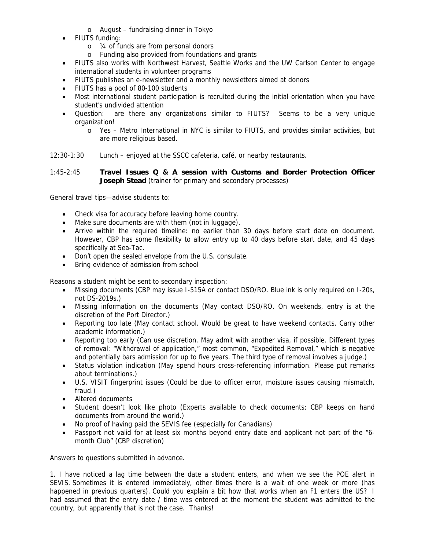- o August fundraising dinner in Tokyo
- FIUTS funding:
	- o ¼ of funds are from personal donors
	- o Funding also provided from foundations and grants
- FIUTS also works with Northwest Harvest, Seattle Works and the UW Carlson Center to engage international students in volunteer programs
- FIUTS publishes an e-newsletter and a monthly newsletters aimed at donors
- FIUTS has a pool of 80-100 students
- Most international student participation is recruited during the initial orientation when you have student's undivided attention
- Question: are there any organizations similar to FIUTS? Seems to be a very unique organization!
	- o Yes Metro International in NYC is similar to FIUTS, and provides similar activities, but are more religious based.

12:30-1:30 Lunch – enjoyed at the SSCC cafeteria, café, or nearby restaurants.

1:45-2:45 **Travel Issues Q & A session with Customs and Border Protection Officer Joseph Stead** (trainer for primary and secondary processes)

General travel tips—advise students to:

- Check visa for accuracy before leaving home country.
- Make sure documents are with them (not in luggage).
- Arrive within the required timeline: no earlier than 30 days before start date on document. However, CBP has some flexibility to allow entry up to 40 days before start date, and 45 days specifically at Sea-Tac.
- Don't open the sealed envelope from the U.S. consulate.
- Bring evidence of admission from school

Reasons a student might be sent to secondary inspection:

- Missing documents (CBP may issue I-515A or contact DSO/RO. Blue ink is only required on I-20s, not DS-2019s.)
- Missing information on the documents (May contact DSO/RO. On weekends, entry is at the discretion of the Port Director.)
- Reporting too late (May contact school. Would be great to have weekend contacts. Carry other academic information.)
- Reporting too early (Can use discretion. May admit with another visa, if possible. Different types of removal: "Withdrawal of application," most common, "Expedited Removal," which is negative and potentially bars admission for up to five years. The third type of removal involves a judge.)
- Status violation indication (May spend hours cross-referencing information. Please put remarks about terminations.)
- U.S. VISIT fingerprint issues (Could be due to officer error, moisture issues causing mismatch, fraud.)
- Altered documents
- Student doesn't look like photo (Experts available to check documents; CBP keeps on hand documents from around the world.)
- No proof of having paid the SEVIS fee (especially for Canadians)
- Passport not valid for at least six months beyond entry date and applicant not part of the "6 month Club" (CBP discretion)

Answers to questions submitted in advance.

1. I have noticed a lag time between the date a student enters, and when we see the POE alert in SEVIS. Sometimes it is entered immediately, other times there is a wait of one week or more (has happened in previous quarters). Could you explain a bit how that works when an F1 enters the US? I had assumed that the entry date / time was entered at the moment the student was admitted to the country, but apparently that is not the case. Thanks!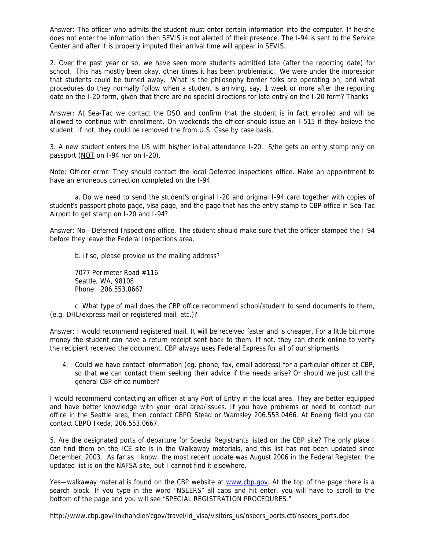Answer: The officer who admits the student must enter certain information into the computer. If he/she does not enter the information then SEVIS is not alerted of their presence. The I-94 is sent to the Service Center and after it is properly imputed their arrival time will appear in SEVIS.

2. Over the past year or so, we have seen more students admitted late (after the reporting date) for school. This has mostly been okay, other times it has been problematic. We were under the impression that students could be turned away. What is the philosophy border folks are operating on, and what procedures do they normally follow when a student is arriving, say, 1 week or more after the reporting date on the I-20 form, given that there are no special directions for late entry on the I-20 form? Thanks

Answer: At Sea-Tac we contact the DSO and confirm that the student is in fact enrolled and will be allowed to continue with enrollment. On weekends the officer should issue an I-515 if they believe the student. If not, they could be removed the from U.S. Case by case basis.

3. A new student enters the US with his/her initial attendance I-20. S/he gets an entry stamp only on passport (NOT on I-94 nor on I-20).

Note: Officer error. They should contact the local Deferred inspections office. Make an appointment to have an erroneous correction completed on the I-94.

a. Do we need to send the student's original I-20 and original I-94 card together with copies of student's passport photo page, visa page, and the page that has the entry stamp to CBP office in Sea-Tac Airport to get stamp on I-20 and I-94?

Answer: No—Deferred Inspections office. The student should make sure that the officer stamped the I-94 before they leave the Federal Inspections area.

b. If so, please provide us the mailing address?

7077 Perimeter Road #116 Seattle, WA, 98108 Phone: 206.553.0667

c. What type of mail does the CBP office recommend school/student to send documents to them, (e.g. DHL/express mail or registered mail, etc.)?

Answer: I would recommend registered mail. It will be received faster and is cheaper. For a little bit more money the student can have a return receipt sent back to them. If not, they can check online to verify the recipient received the document. CBP always uses Federal Express for all of our shipments.

4. Could we have contact information (eg. phone, fax, email address) for a particular officer at CBP, so that we can contact them seeking their advice if the needs arise? Or should we just call the general CBP office number?

I would recommend contacting an officer at any Port of Entry in the local area. They are better equipped and have better knowledge with your local area/issues. If you have problems or need to contact our office in the Seattle area, then contact CBPO Stead or Wamsley 206.553.0466. At Boeing field you can contact CBPO Ikeda, 206.553.0667.

5. Are the designated ports of departure for Special Registrants listed on the CBP site? The only place I can find them on the ICE site is in the Walkaway materials, and this list has not been updated since December, 2003. As far as I know, the most recent update was August 2006 in the Federal Register; the updated list is on the NAFSA site, but I cannot find it elsewhere.

Yes—walkaway material is found on the CBP website at [www.cbp.gov.](http://www.cbp.gov/) At the top of the page there is a search block. If you type in the word "NSEERS" all caps and hit enter, you will have to scroll to the bottom of the page and you will see "SPECIAL REGISTRATION PROCEDURES."

http://www.cbp.gov/linkhandler/cgov/travel/id\_visa/visitors\_us/nseers\_ports.ctt/nseers\_ports.doc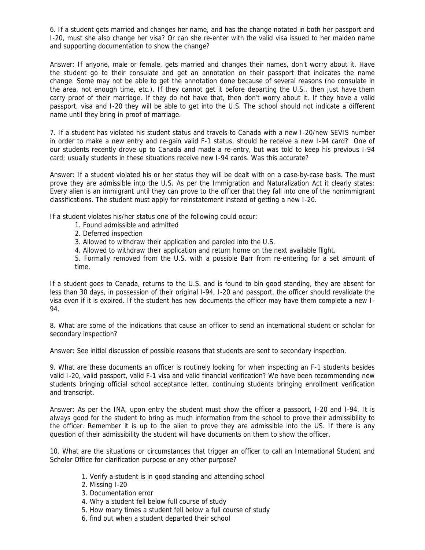6. If a student gets married and changes her name, and has the change notated in both her passport and I-20, must she also change her visa? Or can she re-enter with the valid visa issued to her maiden name and supporting documentation to show the change?

Answer: If anyone, male or female, gets married and changes their names, don't worry about it. Have the student go to their consulate and get an annotation on their passport that indicates the name change. Some may not be able to get the annotation done because of several reasons (no consulate in the area, not enough time, etc.). If they cannot get it before departing the U.S., then just have them carry proof of their marriage. If they do not have that, then don't worry about it. If they have a valid passport, visa and I-20 they will be able to get into the U.S. The school should not indicate a different name until they bring in proof of marriage.

7. If a student has violated his student status and travels to Canada with a new I-20/new SEVIS number in order to make a new entry and re-gain valid F-1 status, should he receive a new I-94 card? One of our students recently drove up to Canada and made a re-entry, but was told to keep his previous I-94 card; usually students in these situations receive new I-94 cards. Was this accurate?

Answer: If a student violated his or her status they will be dealt with on a case-by-case basis. The must prove they are admissible into the U.S. As per the Immigration and Naturalization Act it clearly states: Every alien is an immigrant until they can prove to the officer that they fall into one of the nonimmigrant classifications. The student must apply for reinstatement instead of getting a new I-20.

If a student violates his/her status one of the following could occur:

- 1. Found admissible and admitted
- 2. Deferred inspection
- 3. Allowed to withdraw their application and paroled into the U.S.
- 4. Allowed to withdraw their application and return home on the next available flight.
- 5. Formally removed from the U.S. with a possible Barr from re-entering for a set amount of time.

If a student goes to Canada, returns to the U.S. and is found to bin good standing, they are absent for less than 30 days, in possession of their original I-94, I-20 and passport, the officer should revalidate the visa even if it is expired. If the student has new documents the officer may have them complete a new I-94.

8. What are some of the indications that cause an officer to send an international student or scholar for secondary inspection?

Answer: See initial discussion of possible reasons that students are sent to secondary inspection.

9. What are these documents an officer is routinely looking for when inspecting an F-1 students besides valid I-20, valid passport, valid F-1 visa and valid financial verification? We have been recommending new students bringing official school acceptance letter, continuing students bringing enrollment verification and transcript.

Answer: As per the INA, upon entry the student must show the officer a passport, I-20 and I-94. It is always good for the student to bring as much information from the school to prove their admissibility to the officer. Remember it is up to the alien to prove they are admissible into the US. If there is any question of their admissibility the student will have documents on them to show the officer.

10. What are the situations or circumstances that trigger an officer to call an International Student and Scholar Office for clarification purpose or any other purpose?

- 1. Verify a student is in good standing and attending school
- 2. Missing I-20
- 3. Documentation error
- 4. Why a student fell below full course of study
- 5. How many times a student fell below a full course of study
- 6. find out when a student departed their school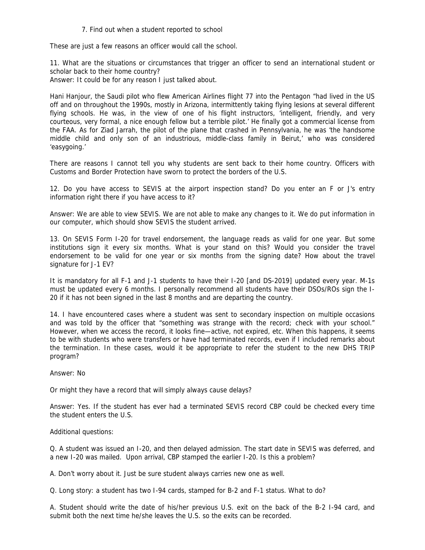#### 7. Find out when a student reported to school

These are just a few reasons an officer would call the school.

11. What are the situations or circumstances that trigger an officer to send an international student or scholar back to their home country?

Answer: It could be for any reason I just talked about.

Hani Hanjour, the Saudi pilot who flew American Airlines flight 77 into the Pentagon "had lived in the US off and on throughout the 1990s, mostly in Arizona, intermittently taking flying lesions at several different flying schools. He was, in the view of one of his flight instructors, 'intelligent, friendly, and very courteous, very formal, a nice enough fellow but a terrible pilot.' He finally got a commercial license from the FAA. As for Ziad Jarrah, the pilot of the plane that crashed in Pennsylvania, he was 'the handsome middle child and only son of an industrious, middle-class family in Beirut,' who was considered 'easygoing.'

There are reasons I cannot tell you why students are sent back to their home country. Officers with Customs and Border Protection have sworn to protect the borders of the U.S.

12. Do you have access to SEVIS at the airport inspection stand? Do you enter an F or J's entry information right there if you have access to it?

Answer: We are able to view SEVIS. We are not able to make any changes to it. We do put information in our computer, which should show SEVIS the student arrived.

13. On SEVIS Form I-20 for travel endorsement, the language reads as valid for one year. But some institutions sign it every six months. What is your stand on this? Would you consider the travel endorsement to be valid for one year or six months from the signing date? How about the travel signature for J-1 EV?

It is mandatory for all F-1 and J-1 students to have their I-20 [and DS-2019] updated every year. M-1s must be updated every 6 months. I personally recommend all students have their DSOs/ROs sign the I-20 if it has not been signed in the last 8 months and are departing the country.

14. I have encountered cases where a student was sent to secondary inspection on multiple occasions and was told by the officer that "something was strange with the record; check with your school." However, when we access the record, it looks fine—active, not expired, etc. When this happens, it seems to be with students who were transfers or have had terminated records, even if I included remarks about the termination. In these cases, would it be appropriate to refer the student to the new DHS TRIP program?

Answer: No

Or might they have a record that will simply always cause delays?

Answer: Yes. If the student has ever had a terminated SEVIS record CBP could be checked every time the student enters the U.S.

Additional questions:

Q. A student was issued an I-20, and then delayed admission. The start date in SEVIS was deferred, and a new I-20 was mailed. Upon arrival, CBP stamped the earlier I-20. Is this a problem?

A. Don't worry about it. Just be sure student always carries new one as well.

Q. Long story: a student has two I-94 cards, stamped for B-2 and F-1 status. What to do?

A. Student should write the date of his/her previous U.S. exit on the back of the B-2 I-94 card, and submit both the next time he/she leaves the U.S. so the exits can be recorded.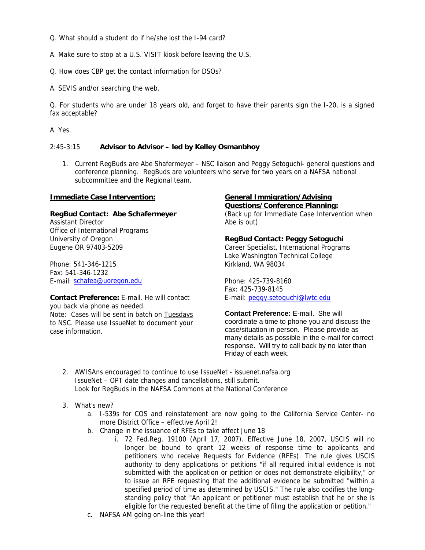Q. What should a student do if he/she lost the I-94 card?

A. Make sure to stop at a U.S. VISIT kiosk before leaving the U.S.

Q. How does CBP get the contact information for DSOs?

A. SEVIS and/or searching the web.

Q. For students who are under 18 years old, and forget to have their parents sign the I-20, is a signed fax acceptable?

A. Yes.

## 2:45-3:15 **Advisor to Advisor – led by Kelley Osmanbhoy**

1. Current RegBuds are Abe Shafermeyer – NSC liaison and Peggy Setoguchi- general questions and conference planning. RegBuds are volunteers who serve for two years on a NAFSA national subcommittee and the Regional team.

### **Immediate Case Intervention:**

### **RegBud Contact: Abe Schafermeyer**

Assistant Director Office of International Programs University of Oregon Eugene OR 97403-5209

Phone: 541-346-1215 Fax: 541-346-1232 E-mail: [schafea@uoregon.edu](mailto:schafea@uoregon.edu)

**Contact Preference:** E-mail. He will contact you back via phone as needed. Note: Cases will be sent in batch on Tuesdays to NSC. Please use IssueNet to document your case information.

#### **General Immigration/Advising Questions/Conference Planning:**

(Back up for Immediate Case Intervention when Abe is out)

# **RegBud Contact: Peggy Setoguchi**

Career Specialist, International Programs Lake Washington Technical College Kirkland, WA 98034

Phone: 425-739-8160 Fax: 425-739-8145 E-mail: [peggy.setoguchi@lwtc.edu](mailto:peggy.setoguchi@lwtc.edu)

**Contact Preference:** E-mail. She will coordinate a time to phone you and discuss the case/situation in person. Please provide as many details as possible in the e-mail for correct response. Will try to call back by no later than Friday of each week.

- 2. AWISAns encouraged to continue to use IssueNet issuenet.nafsa.org IssueNet – OPT date changes and cancellations, still submit. Look for RegBuds in the NAFSA Commons at the National Conference
- 3. What's new?
	- a. I-539s for COS and reinstatement are now going to the California Service Center- no more District Office – effective April 2!
	- b. Change in the issuance of RFEs to take affect June 18
		- i. 72 Fed.Reg. 19100 (April 17, 2007). Effective June 18, 2007, USCIS will no longer be bound to grant 12 weeks of response time to applicants and petitioners who receive Requests for Evidence (RFEs). The rule gives USCIS authority to deny applications or petitions "if all required initial evidence is not submitted with the application or petition or does not demonstrate eligibility," or to issue an RFE requesting that the additional evidence be submitted "within a specified period of time as determined by USCIS." The rule also codifies the longstanding policy that "An applicant or petitioner must establish that he or she is eligible for the requested benefit at the time of filing the application or petition."
	- c. NAFSA AM going on-line this year!